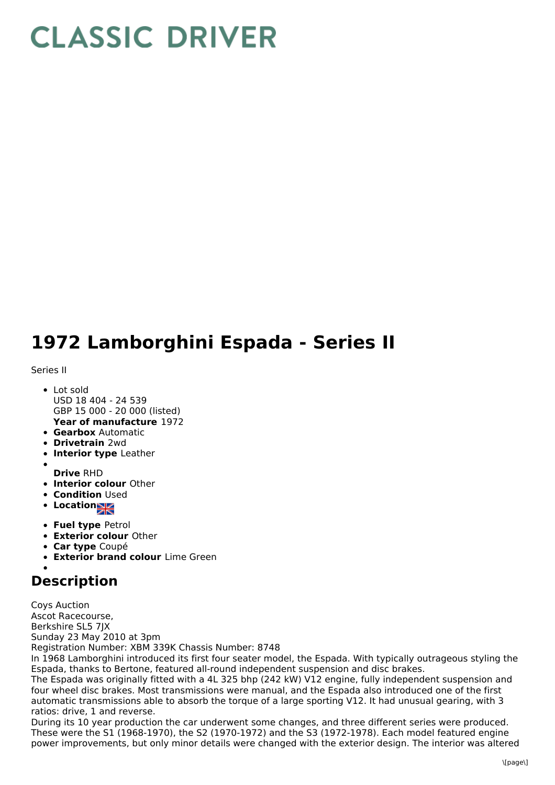## **CLASSIC DRIVER**

## **1972 Lamborghini Espada - Series II**

Series II

- **Year of manufacture** 1972 Lot sold USD 18 404 - 24 539 GBP 15 000 - 20 000 (listed)
- **Gearbox** Automatic
- **Drivetrain** 2wd
- **Interior type** Leather
- 
- **Drive** RHD
- **Interior colour** Other
- **Condition Used**
- **Locations**
- **Fuel type** Petrol
- **Exterior colour** Other
- **Car type** Coupé
- **Exterior brand colour** Lime Green
- 

## **Description**

Coys Auction Ascot Racecourse, Berkshire SL5 7JX Sunday 23 May 2010 at 3pm Registration Number: XBM 339K Chassis Number: 8748

In 1968 Lamborghini introduced its first four seater model, the Espada. With typically outrageous styling the Espada, thanks to Bertone, featured all-round independent suspension and disc brakes.

The Espada was originally fitted with a 4L 325 bhp (242 kW) V12 engine, fully independent suspension and four wheel disc brakes. Most transmissions were manual, and the Espada also introduced one of the first automatic transmissions able to absorb the torque of a large sporting V12. It had unusual gearing, with 3 ratios: drive, 1 and reverse.

During its 10 year production the car underwent some changes, and three different series were produced. These were the S1 (1968-1970), the S2 (1970-1972) and the S3 (1972-1978). Each model featured engine power improvements, but only minor details were changed with the exterior design. The interior was altered